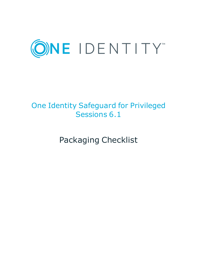

# One Identity Safeguard for Privileged Sessions 6.1

Packaging Checklist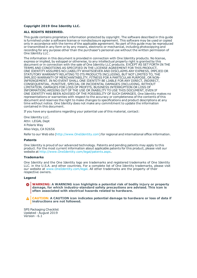### **Copyright 2019 One Identity LLC.**

#### **ALL RIGHTS RESERVED.**

This guide contains proprietary information protected by copyright. The software described in this guide is furnished under a software license or nondisclosure agreement. This software may be used or copied only in accordance with the terms of the applicable agreement. No part of this guide may be reproduced or transmitted in any form or by any means, electronic or mechanical, including photocopying and recording for any purpose other than the purchaser's personal use without the written permission of One Identity LLC .

The information in this document is provided in connection with One Identity products. No license, express or implied, by estoppel or otherwise, to any intellectual property right is granted by this document or in connection with the sale of One Identity LLC products. EXCEPT AS SET FORTH IN THE TERMS AND CONDITIONS AS SPECIFIED IN THE LICENSE AGREEMENT FOR THIS PRODUCT, ONE IDENTITY ASSUMES NO LIABILITY WHATSOEVER AND DISCLAIMS ANY EXPRESS, IMPLIED OR STATUTORY WARRANTY RELATING TO ITS PRODUCTS INCLUDING, BUT NOT LIMITED TO, THE IMPLIED WARRANTY OF MERCHANTABILITY, FITNESS FOR A PARTICULAR PURPOSE, OR NON-INFRINGEMENT. IN NO EVENT SHALL ONE IDENTITY BE LIABLE FOR ANY DIRECT, INDIRECT, CONSEQUENTIAL, PUNITIVE, SPECIAL OR INCIDENTAL DAMAGES (INCLUDING, WITHOUT LIMITATION, DAMAGES FOR LOSS OF PROFITS, BUSINESS INTERRUPTION OR LOSS OF INFORMATION) ARISING OUT OF THE USE OR INABILITY TO USE THIS DOCUMENT, EVEN IF ONE IDENTITY HAS BEEN ADVISED OF THE POSSIBILITY OF SUCH DAMAGES. One Identity makes no representations or warranties with respect to the accuracy or completeness of the contents of this document and reserves the right to make changes to specifications and product descriptions at any time without notice. One Identity does not make any commitment to update the information contained in this document.

If you have any questions regarding your potential use of this material, contact:

One Identity LLC. Attn: LEGAL Dept 4 Polaris Way Aliso Viejo, CA 92656

Refer to our Web site ([http://www.OneIdentity.com](http://www.oneidentity.com/)) for regional and international office information.

#### **Patents**

One Identity is proud of our advanced technology. Patents and pending patents may apply to this product. For the most current information about applicable patents for this product, please visit our website at [http://www.OneIdentity.com/legal/patents.aspx](http://www.oneidentity.com/legal/patents.aspx).

#### **Trademarks**

One Identity and the One Identity logo are trademarks and registered trademarks of One Identity LLC. in the U.S.A. and other countries. For a complete list of One Identity trademarks, please visit our website at [www.OneIdentity.com/legal](http://www.oneidentity.com/legal). All other trademarks are the property of their respective owners.

#### **Legend**

**WARNING: A WARNING icon highlights a potential risk of bodily injury or property damage, for which industry-standard safety precautions are advised. This icon is often associated with electrical hazards related to hardware.**

**CAUTION: A CAUTION icon indicates potential damage to hardware or loss of data if** A **instructions are not followed.**

SPS Packaging Checklist Updated - August 2019 Version - 6.1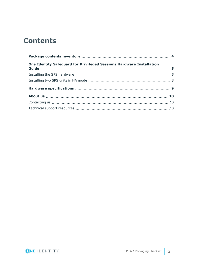# **Contents**

| One Identity Safeguard for Privileged Sessions Hardware Installation |  |  |  |  |  |
|----------------------------------------------------------------------|--|--|--|--|--|
|                                                                      |  |  |  |  |  |
|                                                                      |  |  |  |  |  |
|                                                                      |  |  |  |  |  |
|                                                                      |  |  |  |  |  |
|                                                                      |  |  |  |  |  |
|                                                                      |  |  |  |  |  |

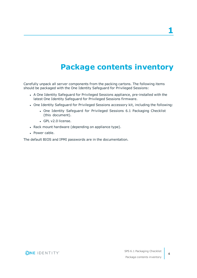**1**

# **Package contents inventory**

<span id="page-3-0"></span>Carefully unpack all server components from the packing cartons. The following items should be packaged with the One Identity Safeguard for Privileged Sessions:

- A One Identity Safeguard for Privileged Sessions appliance, pre-installed with the latest One Identity Safeguard for Privileged Sessions firmware.
- One Identity Safeguard for Privileged Sessions accessory kit, including the following:
	- One Identity Safeguard for Privileged Sessions 6.1 Packaging Checklist (this document).
	- GPL v2.0 license.
- Rack mount hardware (depending on appliance type).
- Power cable.

The default BIOS and IPMI passwords are in the documentation.



**4**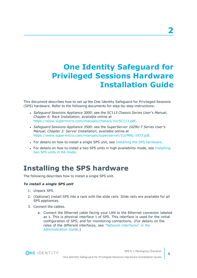# <span id="page-4-0"></span>**One Identity Safeguard for Privileged Sessions Hardware Installation Guide**

This document describes how to set up the One Identity Safeguard for Privileged Sessions (SPS) hardware. Refer to the following documents for step-by-step instructions:

- <sup>l</sup> *Safeguard Sessions Appliance 3000*: see the *SC113 Chassis Series User's Manual, Chapter 6: Rack Installation*, available online at [https://www.supermicro.com/manuals/chassis/1U/SC113.pdf.](https://www.supermicro.com/manuals/chassis/1U/SC113.pdf)
- <sup>l</sup> *Safeguard Sessions Appliance 3500*: see the *SuperServer 1029U-T Series User's Manual, Chapter 2: Server Installation*, available online at [https://www.supermicro.com/manuals/superserver/1U/MNL-1973.pdf.](https://www.supermicro.com/manuals/superserver/1U/MNL-1973.pdf)
- For details on how to install a single SPS unit, see Installing the SPS [hardware](#page-4-1).
- For details on how to install a two SPS units in high availability mode, see [Installing](#page-7-0) two SPS units in HA [mode.](#page-7-0)

# <span id="page-4-1"></span>**Installing the SPS hardware**

The following describes how to install a single SPS unit.

### *To install a single SPS unit*

- 1. Unpack SPS.
- 2. (Optional) Install SPS into a rack with the slide rails. Slide rails are available for all SPS appliances.
- 3. Connect the cables.
	- a. Connect the Ethernet cable facing your LAN to the Ethernet connector labeled as 1. This is physical interface 1 of SPS. This interface is used for the initial configuration of SPS, and for monitoring connections. (For details on the roles of the different interfaces, see "Network [interfaces"](https://support.oneidentity.com/technical-documents/safeguard-for-privileged-sessions/6.1.0/administration-guide/the-concepts-of-one-identity-safeguard-for-privileged-sessions-sps/network-interfaces/) in the [Administration](https://support.oneidentity.com/technical-documents/safeguard-for-privileged-sessions/6.1.0/administration-guide/the-concepts-of-one-identity-safeguard-for-privileged-sessions-sps/network-interfaces/) Guide.)



SPS 6.1 Packaging Checklist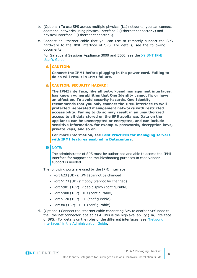- b. (Optional) To use SPS across multiple physical (L1) networks, you can connect additional networks using physical interface 2 (Ethernet connector 2) and physical interface 3 (Ethernet connector 3).
- c. Connect an Ethernet cable that you can use to remotely support the SPS hardware to the IPMI interface of SPS. For details, see the following documents:

For Safeguard Sessions Appliance 3000 and 3500, see the X9 SMT [IPMI](http://www.supermicro.com/manuals/other/X9_SMT_IPMI.pdf) [User's](http://www.supermicro.com/manuals/other/X9_SMT_IPMI.pdf) Guide.

### **A** CAUTION:

**Connect the IPMI before plugging in the power cord. Failing to do so will result in IPMI failure.**

### **CAUTION: SECURITY HAZARD!**

**The IPMI interface, like all out-of-band management interfaces, has known vulnerabilities that One Identity cannot fix or have an effect on. To avoid security hazards, One Identity recommends that you only connect the IPMI interface to wellprotected, separated management networks with restricted accessibility. Failing to do so may result in an unauthorized access to all data stored on the SPS appliance. Data on the appliance can be unencrypted or encrypted, and can include sensitive information, for example, passwords, decryption keys, private keys, and so on.**

**For more information, see Best Practices for [managing](https://www.supermicro.com/products/nfo/files/IPMI/Best_Practices_BMC_Security.pdf) servers with IPMI features enabled in [Datacenters](https://www.supermicro.com/products/nfo/files/IPMI/Best_Practices_BMC_Security.pdf).**

### **O** I NOTE:

The administrator of SPS must be authorized and able to access the IPMI interface for support and troubleshooting purposes in case vendor support is needed.

The following ports are used by the IPMI interface:

- Port 623 (UDP): IPMI (cannot be changed)
- Port 5123 (UDP): floppy (cannot be changed)
- $\bullet$  Port 5901 (TCP): video display (configurable)
- Port 5900 (TCP): HID (configurable)
- Port 5120 (TCP): CD (configurable)
- Port 80 (TCP): HTTP (configurable)
- d. (Optional) Connect the Ethernet cable connecting SPS to another SPS node to the Ethernet connector labeled as 4. This is the high availability (HA) interface of SPS. (For details on the roles of the different interfaces, see ["Network](https://support.oneidentity.com/technical-documents/safeguard-for-privileged-sessions/6.1.0/administration-guide/the-concepts-of-one-identity-safeguard-for-privileged-sessions-sps/network-interfaces/) interfaces" in the [Administration](https://support.oneidentity.com/technical-documents/safeguard-for-privileged-sessions/6.1.0/administration-guide/the-concepts-of-one-identity-safeguard-for-privileged-sessions-sps/network-interfaces/) Guide.)



SPS 6.1 Packaging Checklist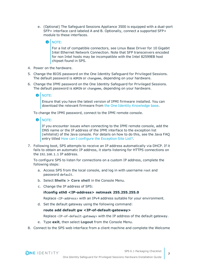e. (Optional) The Safeguard Sessions Appliance 3500 is equipped with a dual-port SFP+ interface card labeled A and B. Optionally, connect a supported SFP+ module to these interfaces.

#### 6 NOTE:

For a list of compatible connectors, see Linux Base Driver for 10 Gigabit Intel Ethernet Network Connection. Note that SFP transceivers encoded for non Intel hosts may be incompatible with the Intel 82599EB host chipset found in SPS.

- 4. Power on the hardware.
- 5. Change the BIOS password on the One Identity Safeguard for Privileged Sessions. The default password is ADMIN or changeme, depending on your hardware.
- 6. Change the IPMI password on the One Identity Safeguard for Privileged Sessions. The default password is ADMIN or changeme, depending on your hardware.
	- 6 NOTE:

Ensure that you have the latest version of IPMI firmware installed. You can download the relevant firmware from the One Identity [Knowledge](https://support.oneidentity.com/kb-product-select) base.

To change the IPMI password, connect to the IPMI remote console.

**O** | NOTE:

If you encounter issues when connecting to the IPMI remote console, add the DNS name or the IP address of the IPMI interface to the exception list (whitelist) of the Java console. For details on how to do this, see the Java FAQ entry titled How can I configure the [Exception](https://www.java.com/en/download/faq/exception_sitelist.xml) Site List?.

7. Following boot, SPS attempts to receive an IP address automatically via DHCP. If it fails to obtain an automatic IP address, it starts listening for HTTPS connections on the 192.168.1.1 IP address.

To configure SPS to listen for connections on a custom IP address, complete the following steps:

- a. Access SPS from the local console, and log in with username root and password default.
- b. Select **Shells > Core shell** in the Console Menu.
- c. Change the IP address of SPS:

### **ifconfig eth0 <IP-address> netmask 255.255.255.0**

Replace <IP-address> with an IPv4 address suitable for your environment.

d. Set the default gateway using the following command:

### **route add default gw <IP-of-default-gateway>**

Replace <IP-of-default-gateway> with the IP address of the default gateway.

- e. Type **exit**, then select **Logout** from the Console Menu.
- 8. Connect to the SPS web interface from a client machine and complete the Welcome

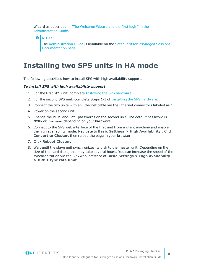Wizard as described in "The [Welcome](https://support.oneidentity.com/technical-documents/safeguard-for-privileged-sessions/6.1.0/administration-guide/) Wizard and the first login" in the [Administration](https://support.oneidentity.com/technical-documents/safeguard-for-privileged-sessions/6.1.0/administration-guide/) Guide.

**O** NOTE:

The [Administration](https://support.oneidentity.com/technical-documents/safeguard-for-privileged-sessions/6.1.0/administration-guide/) Guide is available on the [Safeguard](https://support.oneidentity.com/one-identity-safeguard-for-privileged-sessions/technical-documents) for Privileged Sessions [Documentation](https://support.oneidentity.com/one-identity-safeguard-for-privileged-sessions/technical-documents) page.

## <span id="page-7-0"></span>**Installing two SPS units in HA mode**

The following describes how to install SPS with high availability support.

### *To install SPS with high availability support*

- 1. For the first SPS unit, complete Installing the SPS [hardware.](#page-4-1)
- 2. For the second SPS unit, complete Steps 1-3 of Installing the SPS [hardware.](#page-4-1)
- 3. Connect the two units with an Ethernet cable via the Ethernet connectors labeled as 4.
- 4. Power on the second unit.
- 5. Change the BIOS and IPMI passwords on the second unit. The default password is ADMIN or changeme, depending on your hardware.
- 6. Connect to the SPS web interface of the first unit from a client machine and enable the high availability mode. Navigate to **Basic Settings > High Availability** . Click **Convert to Cluster**, then reload the page in your browser.
- 7. Click **Reboot Cluster**.
- 8. Wait until the slave unit synchronizes its disk to the master unit. Depending on the size of the hard disks, this may take several hours. You can increase the speed of the synchronization via the SPS web interface at **Basic Settings > High Availability > DRBD sync rate limit**.



SPS 6.1 Packaging Checklist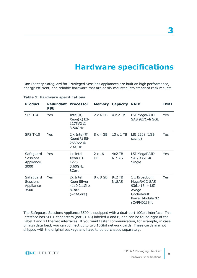# **Hardware specifications**

<span id="page-8-0"></span>One Identity Safeguard for Privileged Sessions appliances are built on high performance, energy efficient, and reliable hardware that are easily mounted into standard rack mounts.

| <b>Product</b>                                    | <b>Redundant Processor</b><br><b>PSU</b> |                                                                | <b>Memory</b>       | Capacity                 | <b>RAID</b>                                                                                                  | <b>IPMI</b> |
|---------------------------------------------------|------------------------------------------|----------------------------------------------------------------|---------------------|--------------------------|--------------------------------------------------------------------------------------------------------------|-------------|
| SPS T-4                                           | Yes                                      | Intel(R)<br>$Xeon(R) E3-$<br>1275V2@<br>3.50GHz                | $2 \times 4$ GB     | $4 \times 2$ TB          | LSI MegaRAID<br>SAS 9271-4i SGL                                                                              | Yes         |
| <b>SPS T-10</b>                                   | Yes                                      | $2 \times Intel(R)$<br>$Xeon(R) E5-$<br>2630V2@<br>2.6GHz      | $8 \times 4$ GB     | $13 \times 1$ TB         | LSI 2208 (1GB<br>cache)                                                                                      | Yes         |
| Safeguard<br>Sessions<br>Appliance<br>3000        | Yes                                      | 1x Intel<br>Xeon E3-<br>1275<br>3.60GHz<br>8Core               | $2 \times 16$<br>GB | $4x2$ TB<br><b>NLSAS</b> | LSI MegaRAID<br>SAS 9361-4i<br>Single                                                                        | Yes         |
| Safeguard<br><b>Sessions</b><br>Appliance<br>3500 | Yes                                      | 2x Intel<br>Xeon Silver<br>4110 2.1Ghz<br>8Core<br>$(=16Core)$ | $8 \times 8$ GB     | $9x2$ TB<br><b>NLSAS</b> | 1 x Broadcom<br>MegaRAID SAS<br>$9361 - 16i + LSI$<br>Avago<br>CacheVault<br>Power Module 02<br>(CVPM02) Kit | Yes         |

### **Table 1: Hardware specifications**

The Safeguard Sessions Appliance 3500 is equipped with a dual-port 10Gbit interface. This interface has SFP+ connectors (not RJ-45) labeled A and B, and can be found right of the Label 1 and 2 Ethernet interfaces. If you want faster communication, for example, in case of high data load, you can connect up to two 10Gbit network cards. These cards are not shipped with the original package and have to be purchased separately.